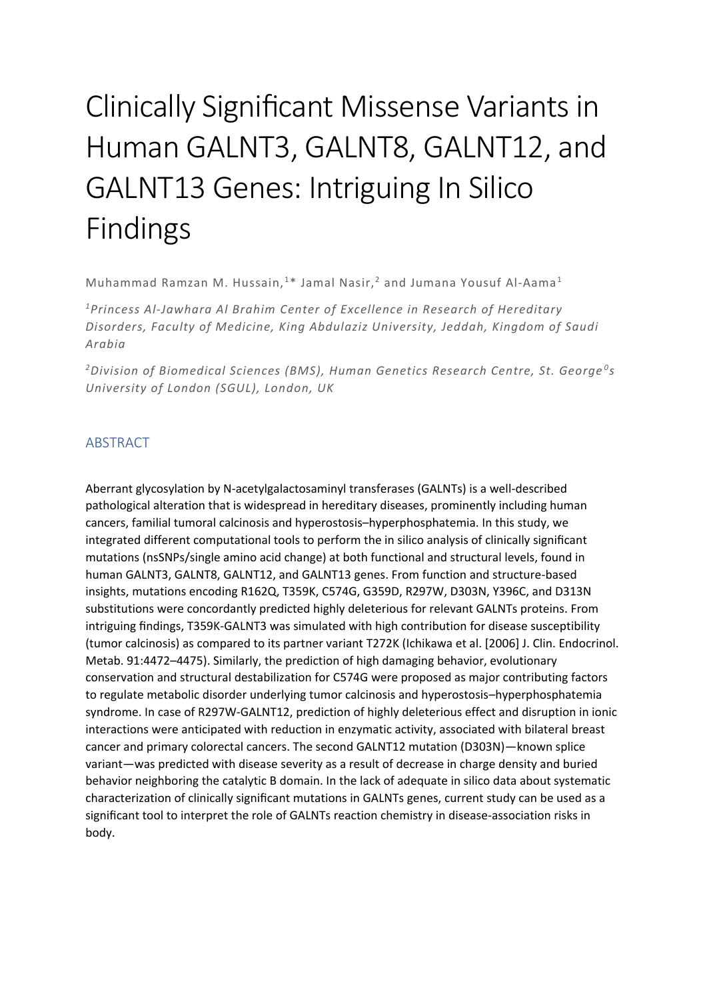# Clinically Significant Missense Variants in Human GALNT3, GALNT8, GALNT12, and GALNT13 Genes: Intriguing In Silico Findings

Muhammad Ramzan M. Hussain, <sup>1\*</sup> Jamal Nasir, <sup>2</sup> and Jumana Yousuf Al-Aama<sup>1</sup>

*<sup>1</sup>Princess Al‐Jawhara Al Brahim Center of Excellence in Research of Hereditary Disorders, Faculty of Medicine, King Abdulaziz University, Jeddah, Kingdom of Saudi Arabia*

*<sup>2</sup>Division of Biomedical Sciences (BMS), Human Genetics Research Centre, St. George <sup>0</sup> s University of London (SGUL), London, UK*

## ABSTRACT

Aberrant glycosylation by N‐acetylgalactosaminyl transferases (GALNTs) is a well‐described pathological alteration that is widespread in hereditary diseases, prominently including human cancers, familial tumoral calcinosis and hyperostosis–hyperphosphatemia. In this study, we integrated different computational tools to perform the in silico analysis of clinically significant mutations (nsSNPs/single amino acid change) at both functional and structural levels, found in human GALNT3, GALNT8, GALNT12, and GALNT13 genes. From function and structure-based insights, mutations encoding R162Q, T359K, C574G, G359D, R297W, D303N, Y396C, and D313N substitutions were concordantly predicted highly deleterious for relevant GALNTs proteins. From intriguing findings, T359K‐GALNT3 was simulated with high contribution for disease susceptibility (tumor calcinosis) as compared to its partner variant T272K (Ichikawa et al. [2006] J. Clin. Endocrinol. Metab. 91:4472–4475). Similarly, the prediction of high damaging behavior, evolutionary conservation and structural destabilization for C574G were proposed as major contributing factors to regulate metabolic disorder underlying tumor calcinosis and hyperostosis–hyperphosphatemia syndrome. In case of R297W‐GALNT12, prediction of highly deleterious effect and disruption in ionic interactions were anticipated with reduction in enzymatic activity, associated with bilateral breast cancer and primary colorectal cancers. The second GALNT12 mutation (D303N)—known splice variant—was predicted with disease severity as a result of decrease in charge density and buried behavior neighboring the catalytic B domain. In the lack of adequate in silico data about systematic characterization of clinically significant mutations in GALNTs genes, current study can be used as a significant tool to interpret the role of GALNTs reaction chemistry in disease-association risks in body.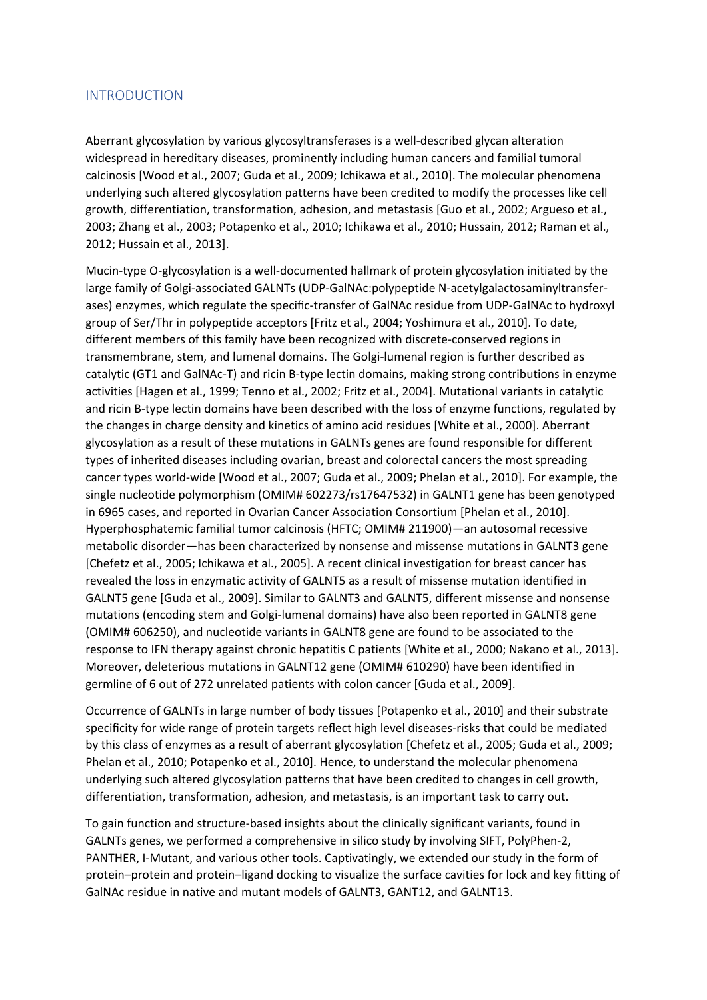#### INTRODUCTION

Aberrant glycosylation by various glycosyltransferases is a well‐described glycan alteration widespread in hereditary diseases, prominently including human cancers and familial tumoral calcinosis [Wood et al., 2007; Guda et al., 2009; Ichikawa et al., 2010]. The molecular phenomena underlying such altered glycosylation patterns have been credited to modify the processes like cell growth, differentiation, transformation, adhesion, and metastasis [Guo et al., 2002; Argueso et al., 2003; Zhang et al., 2003; Potapenko et al., 2010; Ichikawa et al., 2010; Hussain, 2012; Raman et al., 2012; Hussain et al., 2013].

Mucin‐type O‐glycosylation is a well‐documented hallmark of protein glycosylation initiated by the large family of Golgi-associated GALNTs (UDP-GalNAc:polypeptide N-acetylgalactosaminyltransferases) enzymes, which regulate the specific-transfer of GalNAc residue from UDP-GalNAc to hydroxyl group of Ser/Thr in polypeptide acceptors [Fritz et al., 2004; Yoshimura et al., 2010]. To date, different members of this family have been recognized with discrete‐conserved regions in transmembrane, stem, and lumenal domains. The Golgi-lumenal region is further described as catalytic (GT1 and GalNAc‐T) and ricin B‐type lectin domains, making strong contributions in enzyme activities [Hagen et al., 1999; Tenno et al., 2002; Fritz et al., 2004]. Mutational variants in catalytic and ricin B-type lectin domains have been described with the loss of enzyme functions, regulated by the changes in charge density and kinetics of amino acid residues [White et al., 2000]. Aberrant glycosylation as a result of these mutations in GALNTs genes are found responsible for different types of inherited diseases including ovarian, breast and colorectal cancers the most spreading cancer types world‐wide [Wood et al., 2007; Guda et al., 2009; Phelan et al., 2010]. For example, the single nucleotide polymorphism (OMIM# 602273/rs17647532) in GALNT1 gene has been genotyped in 6965 cases, and reported in Ovarian Cancer Association Consortium [Phelan et al., 2010]. Hyperphosphatemic familial tumor calcinosis (HFTC; OMIM# 211900)—an autosomal recessive metabolic disorder—has been characterized by nonsense and missense mutations in GALNT3 gene [Chefetz et al., 2005; Ichikawa et al., 2005]. A recent clinical investigation for breast cancer has revealed the loss in enzymatic activity of GALNT5 as a result of missense mutation identified in GALNT5 gene [Guda et al., 2009]. Similar to GALNT3 and GALNT5, different missense and nonsense mutations (encoding stem and Golgi‐lumenal domains) have also been reported in GALNT8 gene (OMIM# 606250), and nucleotide variants in GALNT8 gene are found to be associated to the response to IFN therapy against chronic hepatitis C patients [White et al., 2000; Nakano et al., 2013]. Moreover, deleterious mutations in GALNT12 gene (OMIM# 610290) have been identified in germline of 6 out of 272 unrelated patients with colon cancer [Guda et al., 2009].

Occurrence of GALNTs in large number of body tissues [Potapenko et al., 2010] and their substrate specificity for wide range of protein targets reflect high level diseases-risks that could be mediated by this class of enzymes as a result of aberrant glycosylation [Chefetz et al., 2005; Guda et al., 2009; Phelan et al., 2010; Potapenko et al., 2010]. Hence, to understand the molecular phenomena underlying such altered glycosylation patterns that have been credited to changes in cell growth, differentiation, transformation, adhesion, and metastasis, is an important task to carry out.

To gain function and structure-based insights about the clinically significant variants, found in GALNTs genes, we performed a comprehensive in silico study by involving SIFT, PolyPhen‐2, PANTHER, I-Mutant, and various other tools. Captivatingly, we extended our study in the form of protein–protein and protein–ligand docking to visualize the surface cavities for lock and key fitting of GalNAc residue in native and mutant models of GALNT3, GANT12, and GALNT13.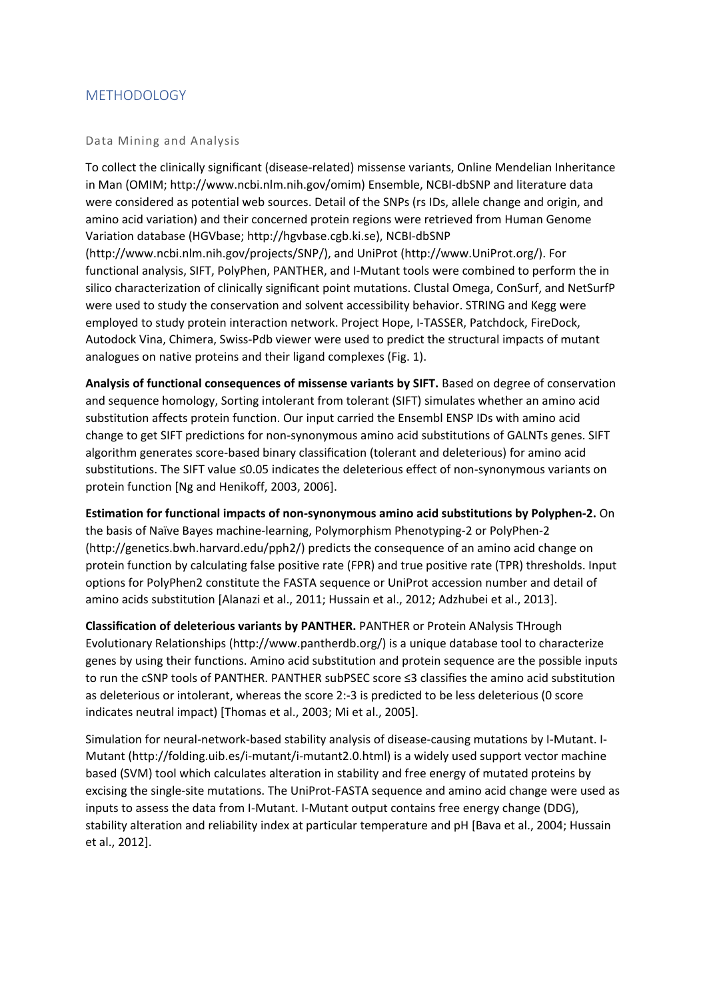## **METHODOLOGY**

#### Data Mining and Analysis

To collect the clinically significant (disease‐related) missense variants, Online Mendelian Inheritance in Man (OMIM; http://www.ncbi.nlm.nih.gov/omim) Ensemble, NCBI‐dbSNP and literature data were considered as potential web sources. Detail of the SNPs (rs IDs, allele change and origin, and amino acid variation) and their concerned protein regions were retrieved from Human Genome Variation database (HGVbase; http://hgvbase.cgb.ki.se), NCBI‐dbSNP (http://www.ncbi.nlm.nih.gov/projects/SNP/), and UniProt (http://www.UniProt.org/). For functional analysis, SIFT, PolyPhen, PANTHER, and I‐Mutant tools were combined to perform the in silico characterization of clinically significant point mutations. Clustal Omega, ConSurf, and NetSurfP were used to study the conservation and solvent accessibility behavior. STRING and Kegg were employed to study protein interaction network. Project Hope, I-TASSER, Patchdock, FireDock, Autodock Vina, Chimera, Swiss‐Pdb viewer were used to predict the structural impacts of mutant analogues on native proteins and their ligand complexes (Fig. 1).

**Analysis of functional consequences of missense variants by SIFT.** Based on degree of conservation and sequence homology, Sorting intolerant from tolerant (SIFT) simulates whether an amino acid substitution affects protein function. Our input carried the Ensembl ENSP IDs with amino acid change to get SIFT predictions for non‐synonymous amino acid substitutions of GALNTs genes. SIFT algorithm generates score‐based binary classification (tolerant and deleterious) for amino acid substitutions. The SIFT value ≤0.05 indicates the deleterious effect of non‐synonymous variants on protein function [Ng and Henikoff, 2003, 2006].

**Estimation for functional impacts of non‐synonymous amino acid substitutions by Polyphen‐2.** On the basis of Naïve Bayes machine‐learning, Polymorphism Phenotyping‐2 or PolyPhen‐2 (http://genetics.bwh.harvard.edu/pph2/) predicts the consequence of an amino acid change on protein function by calculating false positive rate (FPR) and true positive rate (TPR) thresholds. Input options for PolyPhen2 constitute the FASTA sequence or UniProt accession number and detail of amino acids substitution [Alanazi et al., 2011; Hussain et al., 2012; Adzhubei et al., 2013].

**Classification of deleterious variants by PANTHER.** PANTHER or Protein ANalysis THrough Evolutionary Relationships (http://www.pantherdb.org/) is a unique database tool to characterize genes by using their functions. Amino acid substitution and protein sequence are the possible inputs to run the cSNP tools of PANTHER. PANTHER subPSEC score ≤3 classifies the amino acid substitution as deleterious or intolerant, whereas the score 2:-3 is predicted to be less deleterious (0 score indicates neutral impact) [Thomas et al., 2003; Mi et al., 2005].

Simulation for neural-network-based stability analysis of disease-causing mutations by I-Mutant. I-Mutant (http://folding.uib.es/i‐mutant/i‐mutant2.0.html) is a widely used support vector machine based (SVM) tool which calculates alteration in stability and free energy of mutated proteins by excising the single‐site mutations. The UniProt‐FASTA sequence and amino acid change were used as inputs to assess the data from I‐Mutant. I‐Mutant output contains free energy change (DDG), stability alteration and reliability index at particular temperature and pH [Bava et al., 2004; Hussain et al., 2012].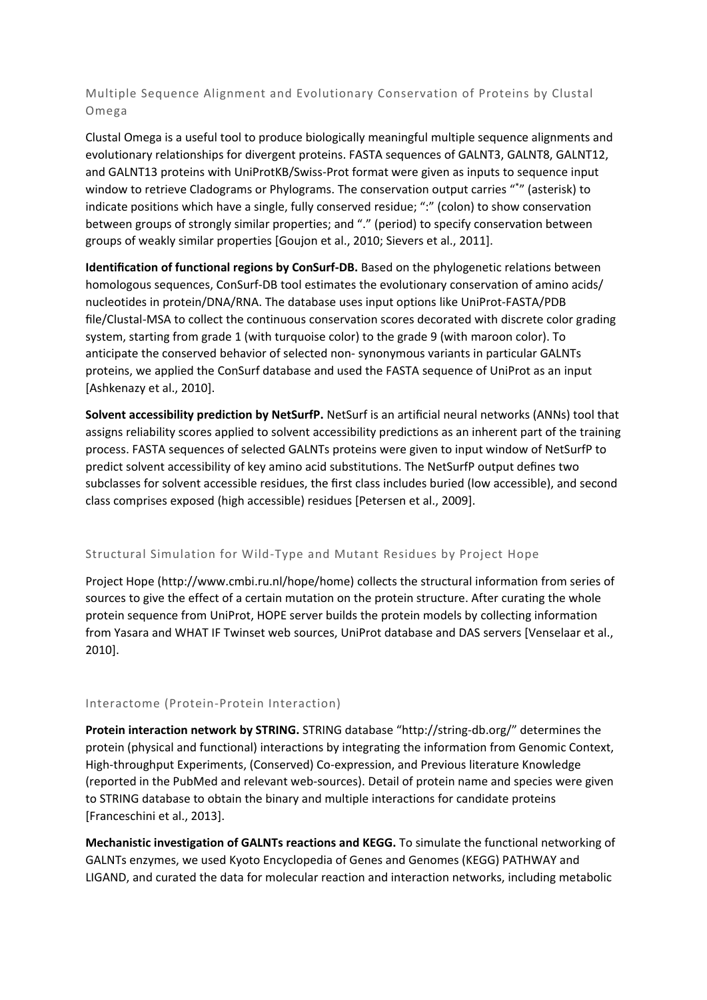Multiple Sequence Alignment and Evolutionary Conservation of Proteins by Clustal Omega

Clustal Omega is a useful tool to produce biologically meaningful multiple sequence alignments and evolutionary relationships for divergent proteins. FASTA sequences of GALNT3, GALNT8, GALNT12, and GALNT13 proteins with UniProtKB/Swiss-Prot format were given as inputs to sequence input window to retrieve Cladograms or Phylograms. The conservation output carries "\*" (asterisk) to indicate positions which have a single, fully conserved residue; ":" (colon) to show conservation between groups of strongly similar properties; and "." (period) to specify conservation between groups of weakly similar properties [Goujon et al., 2010; Sievers et al., 2011].

**Identification of functional regions by ConSurf‐DB.** Based on the phylogenetic relations between homologous sequences, ConSurf-DB tool estimates the evolutionary conservation of amino acids/ nucleotides in protein/DNA/RNA. The database uses input options like UniProt‐FASTA/PDB file/Clustal‐MSA to collect the continuous conservation scores decorated with discrete color grading system, starting from grade 1 (with turquoise color) to the grade 9 (with maroon color). To anticipate the conserved behavior of selected non‐ synonymous variants in particular GALNTs proteins, we applied the ConSurf database and used the FASTA sequence of UniProt as an input [Ashkenazy et al., 2010].

**Solvent accessibility prediction by NetSurfP.** NetSurf is an artificial neural networks (ANNs) tool that assigns reliability scores applied to solvent accessibility predictions as an inherent part of the training process. FASTA sequences of selected GALNTs proteins were given to input window of NetSurfP to predict solvent accessibility of key amino acid substitutions. The NetSurfP output defines two subclasses for solvent accessible residues, the first class includes buried (low accessible), and second class comprises exposed (high accessible) residues [Petersen et al., 2009].

## Structural Simulation for Wild-Type and Mutant Residues by Project Hope

Project Hope (http://www.cmbi.ru.nl/hope/home) collects the structural information from series of sources to give the effect of a certain mutation on the protein structure. After curating the whole protein sequence from UniProt, HOPE server builds the protein models by collecting information from Yasara and WHAT IF Twinset web sources, UniProt database and DAS servers [Venselaar et al., 2010].

#### Interactome (Protein-Protein Interaction)

**Protein interaction network by STRING.** STRING database "http://string‐db.org/" determines the protein (physical and functional) interactions by integrating the information from Genomic Context, High-throughput Experiments, (Conserved) Co-expression, and Previous literature Knowledge (reported in the PubMed and relevant web‐sources). Detail of protein name and species were given to STRING database to obtain the binary and multiple interactions for candidate proteins [Franceschini et al., 2013].

**Mechanistic investigation of GALNTs reactions and KEGG.** To simulate the functional networking of GALNTs enzymes, we used Kyoto Encyclopedia of Genes and Genomes (KEGG) PATHWAY and LIGAND, and curated the data for molecular reaction and interaction networks, including metabolic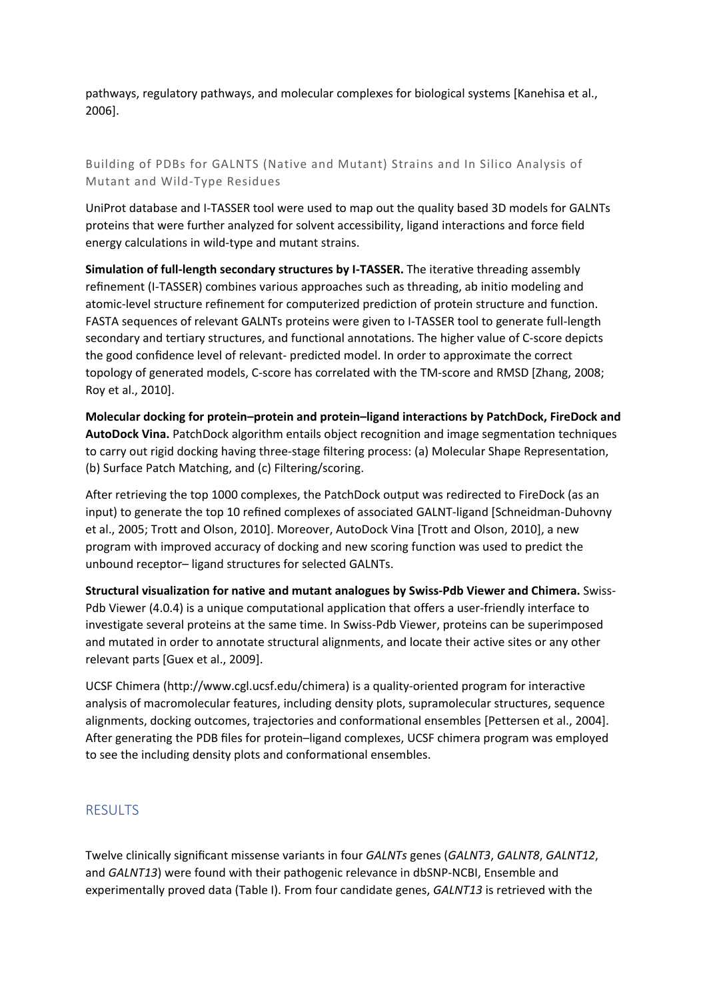pathways, regulatory pathways, and molecular complexes for biological systems [Kanehisa et al., 2006].

# Building of PDBs for GALNTS (Native and Mutant) Strains and In Silico Analysis of Mutant and Wild-Type Residues

UniProt database and I‐TASSER tool were used to map out the quality based 3D models for GALNTs proteins that were further analyzed for solvent accessibility, ligand interactions and force field energy calculations in wild‐type and mutant strains.

**Simulation of full‐length secondary structures by I‐TASSER.** The iterative threading assembly refinement (I‐TASSER) combines various approaches such as threading, ab initio modeling and atomic‐level structure refinement for computerized prediction of protein structure and function. FASTA sequences of relevant GALNTs proteins were given to I-TASSER tool to generate full-length secondary and tertiary structures, and functional annotations. The higher value of C-score depicts the good confidence level of relevant‐ predicted model. In order to approximate the correct topology of generated models, C‐score has correlated with the TM‐score and RMSD [Zhang, 2008; Roy et al., 2010].

**Molecular docking for protein–protein and protein–ligand interactions by PatchDock, FireDock and AutoDock Vina.** PatchDock algorithm entails object recognition and image segmentation techniques to carry out rigid docking having three‐stage filtering process: (a) Molecular Shape Representation, (b) Surface Patch Matching, and (c) Filtering/scoring.

After retrieving the top 1000 complexes, the PatchDock output was redirected to FireDock (as an input) to generate the top 10 refined complexes of associated GALNT‐ligand [Schneidman‐Duhovny et al., 2005; Trott and Olson, 2010]. Moreover, AutoDock Vina [Trott and Olson, 2010], a new program with improved accuracy of docking and new scoring function was used to predict the unbound receptor– ligand structures for selected GALNTs.

**Structural visualization for native and mutant analogues by Swiss‐Pdb Viewer and Chimera.** Swiss‐ Pdb Viewer (4.0.4) is a unique computational application that offers a user-friendly interface to investigate several proteins at the same time. In Swiss-Pdb Viewer, proteins can be superimposed and mutated in order to annotate structural alignments, and locate their active sites or any other relevant parts [Guex et al., 2009].

UCSF Chimera (http://www.cgl.ucsf.edu/chimera) is a quality‐oriented program for interactive analysis of macromolecular features, including density plots, supramolecular structures, sequence alignments, docking outcomes, trajectories and conformational ensembles [Pettersen et al., 2004]. After generating the PDB files for protein–ligand complexes, UCSF chimera program was employed to see the including density plots and conformational ensembles.

# RESULTS

Twelve clinically significant missense variants in four *GALNTs* genes (*GALNT3*, *GALNT8*, *GALNT12*, and *GALNT13*) were found with their pathogenic relevance in dbSNP‐NCBI, Ensemble and experimentally proved data (Table I). From four candidate genes, *GALNT13* is retrieved with the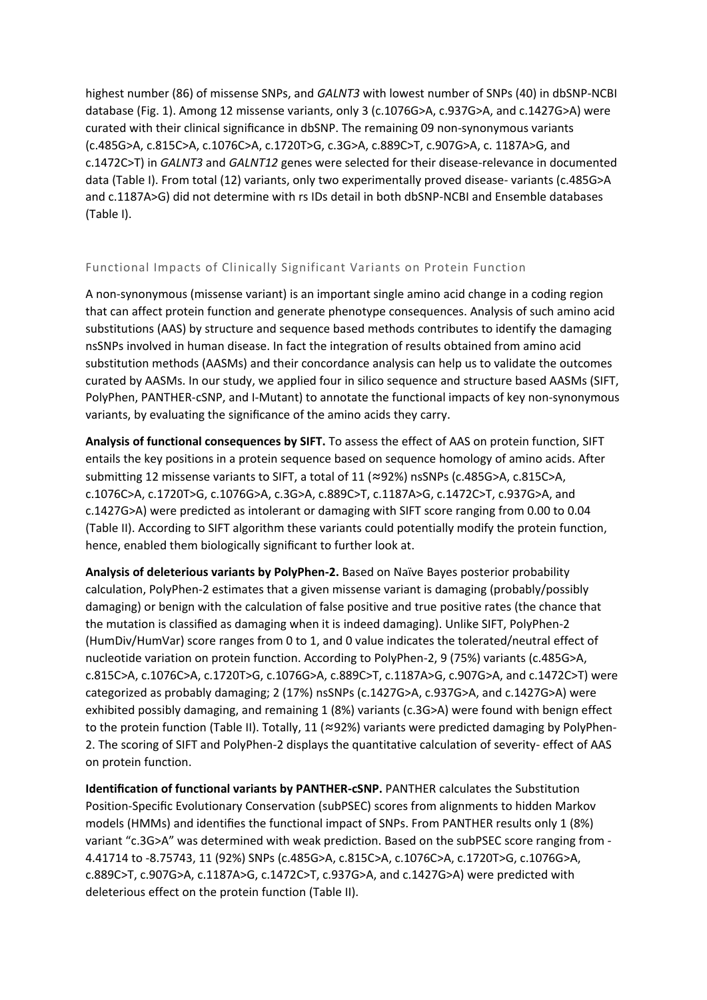highest number (86) of missense SNPs, and *GALNT3* with lowest number of SNPs (40) in dbSNP‐NCBI database (Fig. 1). Among 12 missense variants, only 3 (c.1076G>A, c.937G>A, and c.1427G>A) were curated with their clinical significance in dbSNP. The remaining 09 non‐synonymous variants (c.485G>A, c.815C>A, c.1076C>A, c.1720T>G, c.3G>A, c.889C>T, c.907G>A, c. 1187A>G, and c.1472C>T) in *GALNT3* and *GALNT12* genes were selected for their disease-relevance in documented data (Table I). From total (12) variants, only two experimentally proved disease-variants (c.485G>A and c.1187A>G) did not determine with rs IDs detail in both dbSNP‐NCBI and Ensemble databases (Table I).

## Functional Impacts of Clinically Significant Variants on Protein Function

A non‐synonymous (missense variant) is an important single amino acid change in a coding region that can affect protein function and generate phenotype consequences. Analysis of such amino acid substitutions (AAS) by structure and sequence based methods contributes to identify the damaging nsSNPs involved in human disease. In fact the integration of results obtained from amino acid substitution methods (AASMs) and their concordance analysis can help us to validate the outcomes curated by AASMs. In our study, we applied four in silico sequence and structure based AASMs (SIFT, PolyPhen, PANTHER‐cSNP, and I‐Mutant) to annotate the functional impacts of key non‐synonymous variants, by evaluating the significance of the amino acids they carry.

**Analysis of functional consequences by SIFT.** To assess the effect of AAS on protein function, SIFT entails the key positions in a protein sequence based on sequence homology of amino acids. After submitting 12 missense variants to SIFT, a total of 11 (≈92%) nsSNPs (c.485G>A, c.815C>A, c.1076C>A, c.1720T>G, c.1076G>A, c.3G>A, c.889C>T, c.1187A>G, c.1472C>T, c.937G>A, and c.1427G>A) were predicted as intolerant or damaging with SIFT score ranging from 0.00 to 0.04 (Table II). According to SIFT algorithm these variants could potentially modify the protein function, hence, enabled them biologically significant to further look at.

**Analysis of deleterious variants by PolyPhen‐2.** Based on Naïve Bayes posterior probability calculation, PolyPhen‐2 estimates that a given missense variant is damaging (probably/possibly damaging) or benign with the calculation of false positive and true positive rates (the chance that the mutation is classified as damaging when it is indeed damaging). Unlike SIFT, PolyPhen‐2 (HumDiv/HumVar) score ranges from 0 to 1, and 0 value indicates the tolerated/neutral effect of nucleotide variation on protein function. According to PolyPhen-2, 9 (75%) variants (c.485G>A, c.815C>A, c.1076C>A, c.1720T>G, c.1076G>A, c.889C>T, c.1187A>G, c.907G>A, and c.1472C>T) were categorized as probably damaging; 2 (17%) nsSNPs (c.1427G>A, c.937G>A, and c.1427G>A) were exhibited possibly damaging, and remaining 1 (8%) variants (c.3G>A) were found with benign effect to the protein function (Table II). Totally, 11 (≈92%) variants were predicted damaging by PolyPhen-2. The scoring of SIFT and PolyPhen-2 displays the quantitative calculation of severity‐ effect of AAS on protein function.

**Identification of functional variants by PANTHER‐cSNP.** PANTHER calculates the Substitution Position‐Specific Evolutionary Conservation (subPSEC) scores from alignments to hidden Markov models (HMMs) and identifies the functional impact of SNPs. From PANTHER results only 1 (8%) variant "c.3G>A" was determined with weak prediction. Based on the subPSEC score ranging from - 4.41714 to -8.75743, 11 (92%) SNPs (c.485G>A, c.815C>A, c.1076C>A, c.1720T>G, c.1076G>A, c.889C>T, c.907G>A, c.1187A>G, c.1472C>T, c.937G>A, and c.1427G>A) were predicted with deleterious effect on the protein function (Table II).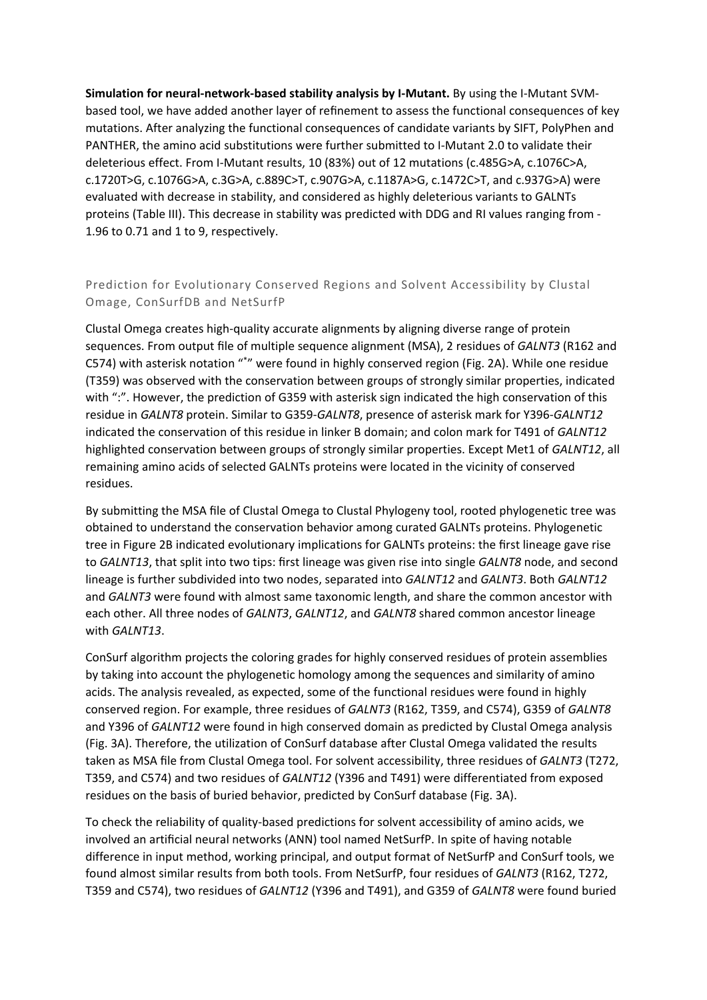**Simulation for neural‐network‐based stability analysis by I‐Mutant.** By using the I‐Mutant SVM‐ based tool, we have added another layer of refinement to assess the functional consequences of key mutations. After analyzing the functional consequences of candidate variants by SIFT, PolyPhen and PANTHER, the amino acid substitutions were further submitted to I‐Mutant 2.0 to validate their deleterious effect. From I‐Mutant results, 10 (83%) out of 12 mutations (c.485G>A, c.1076C>A, c.1720T>G, c.1076G>A, c.3G>A, c.889C>T, c.907G>A, c.1187A>G, c.1472C>T, and c.937G>A) were evaluated with decrease in stability, and considered as highly deleterious variants to GALNTs proteins (Table III). This decrease in stability was predicted with DDG and RI values ranging from - 1.96 to 0.71 and 1 to 9, respectively.

# Prediction for Evolutionary Conserved Regions and Solvent Accessibility by Clustal Omage, ConSurfDB and NetSurfP

Clustal Omega creates high‐quality accurate alignments by aligning diverse range of protein sequences. From output file of multiple sequence alignment (MSA), 2 residues of *GALNT3* (R162 and C574) with asterisk notation "\*" were found in highly conserved region (Fig. 2A). While one residue (T359) was observed with the conservation between groups of strongly similar properties, indicated with ":". However, the prediction of G359 with asterisk sign indicated the high conservation of this residue in *GALNT8* protein. Similar to G359‐*GALNT8*, presence of asterisk mark for Y396‐*GALNT12* indicated the conservation of this residue in linker B domain; and colon mark for T491 of *GALNT12*  highlighted conservation between groups of strongly similar properties. Except Met1 of *GALNT12*, all remaining amino acids of selected GALNTs proteins were located in the vicinity of conserved residues.

By submitting the MSA file of Clustal Omega to Clustal Phylogeny tool, rooted phylogenetic tree was obtained to understand the conservation behavior among curated GALNTs proteins. Phylogenetic tree in Figure 2B indicated evolutionary implications for GALNTs proteins: the first lineage gave rise to *GALNT13*, that split into two tips: first lineage was given rise into single *GALNT8* node, and second lineage is further subdivided into two nodes, separated into *GALNT12* and *GALNT3*. Both *GALNT12*  and *GALNT3* were found with almost same taxonomic length, and share the common ancestor with each other. All three nodes of *GALNT3*, *GALNT12*, and *GALNT8* shared common ancestor lineage with *GALNT13*.

ConSurf algorithm projects the coloring grades for highly conserved residues of protein assemblies by taking into account the phylogenetic homology among the sequences and similarity of amino acids. The analysis revealed, as expected, some of the functional residues were found in highly conserved region. For example, three residues of *GALNT3* (R162, T359, and C574), G359 of *GALNT8* and Y396 of *GALNT12* were found in high conserved domain as predicted by Clustal Omega analysis (Fig. 3A). Therefore, the utilization of ConSurf database after Clustal Omega validated the results taken as MSA file from Clustal Omega tool. For solvent accessibility, three residues of *GALNT3* (T272, T359, and C574) and two residues of *GALNT12* (Y396 and T491) were differentiated from exposed residues on the basis of buried behavior, predicted by ConSurf database (Fig. 3A).

To check the reliability of quality‐based predictions for solvent accessibility of amino acids, we involved an artificial neural networks (ANN) tool named NetSurfP. In spite of having notable difference in input method, working principal, and output format of NetSurfP and ConSurf tools, we found almost similar results from both tools. From NetSurfP, four residues of *GALNT3* (R162, T272, T359 and C574), two residues of *GALNT12* (Y396 and T491), and G359 of *GALNT8* were found buried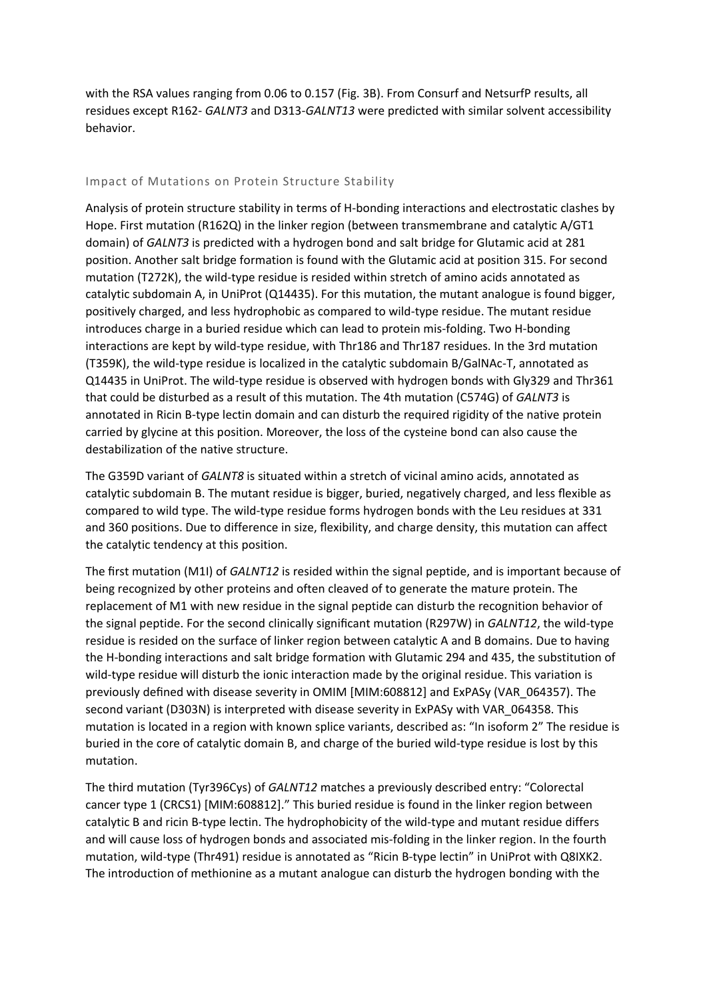with the RSA values ranging from 0.06 to 0.157 (Fig. 3B). From Consurf and NetsurfP results, all residues except R162‐ *GALNT3* and D313‐*GALNT13* were predicted with similar solvent accessibility behavior.

#### Impact of Mutations on Protein Structure Stability

Analysis of protein structure stability in terms of H‐bonding interactions and electrostatic clashes by Hope. First mutation (R162Q) in the linker region (between transmembrane and catalytic A/GT1 domain) of *GALNT3* is predicted with a hydrogen bond and salt bridge for Glutamic acid at 281 position. Another salt bridge formation is found with the Glutamic acid at position 315. For second mutation (T272K), the wild‐type residue is resided within stretch of amino acids annotated as catalytic subdomain A, in UniProt (Q14435). For this mutation, the mutant analogue is found bigger, positively charged, and less hydrophobic as compared to wild‐type residue. The mutant residue introduces charge in a buried residue which can lead to protein mis‐folding. Two H‐bonding interactions are kept by wild‐type residue, with Thr186 and Thr187 residues. In the 3rd mutation (T359K), the wild‐type residue is localized in the catalytic subdomain B/GalNAc‐T, annotated as Q14435 in UniProt. The wild‐type residue is observed with hydrogen bonds with Gly329 and Thr361 that could be disturbed as a result of this mutation. The 4th mutation (C574G) of *GALNT3* is annotated in Ricin B‐type lectin domain and can disturb the required rigidity of the native protein carried by glycine at this position. Moreover, the loss of the cysteine bond can also cause the destabilization of the native structure.

The G359D variant of *GALNT8* is situated within a stretch of vicinal amino acids, annotated as catalytic subdomain B. The mutant residue is bigger, buried, negatively charged, and less flexible as compared to wild type. The wild‐type residue forms hydrogen bonds with the Leu residues at 331 and 360 positions. Due to difference in size, flexibility, and charge density, this mutation can affect the catalytic tendency at this position.

The first mutation (M1I) of *GALNT12* is resided within the signal peptide, and is important because of being recognized by other proteins and often cleaved of to generate the mature protein. The replacement of M1 with new residue in the signal peptide can disturb the recognition behavior of the signal peptide. For the second clinically significant mutation (R297W) in *GALNT12*, the wild‐type residue is resided on the surface of linker region between catalytic A and B domains. Due to having the H-bonding interactions and salt bridge formation with Glutamic 294 and 435, the substitution of wild-type residue will disturb the ionic interaction made by the original residue. This variation is previously defined with disease severity in OMIM [MIM:608812] and ExPASy (VAR\_064357). The second variant (D303N) is interpreted with disease severity in ExPASy with VAR\_064358. This mutation is located in a region with known splice variants, described as: "In isoform 2" The residue is buried in the core of catalytic domain B, and charge of the buried wild‐type residue is lost by this mutation.

The third mutation (Tyr396Cys) of *GALNT12* matches a previously described entry: "Colorectal cancer type 1 (CRCS1) [MIM:608812]." This buried residue is found in the linker region between catalytic B and ricin B‐type lectin. The hydrophobicity of the wild‐type and mutant residue differs and will cause loss of hydrogen bonds and associated mis-folding in the linker region. In the fourth mutation, wild-type (Thr491) residue is annotated as "Ricin B-type lectin" in UniProt with Q8IXK2. The introduction of methionine as a mutant analogue can disturb the hydrogen bonding with the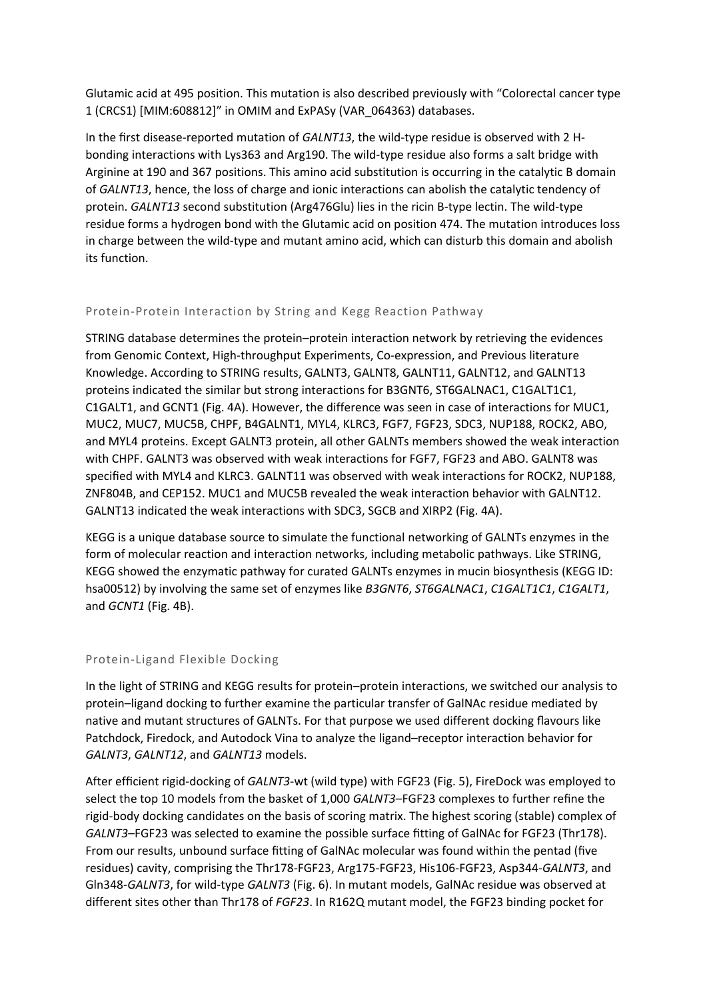Glutamic acid at 495 position. This mutation is also described previously with "Colorectal cancer type 1 (CRCS1) [MIM:608812]" in OMIM and ExPASy (VAR\_064363) databases.

In the first disease-reported mutation of *GALNT13*, the wild-type residue is observed with 2 Hbonding interactions with Lys363 and Arg190. The wild‐type residue also forms a salt bridge with Arginine at 190 and 367 positions. This amino acid substitution is occurring in the catalytic B domain of *GALNT13*, hence, the loss of charge and ionic interactions can abolish the catalytic tendency of protein. *GALNT13* second substitution (Arg476Glu) lies in the ricin B‐type lectin. The wild‐type residue forms a hydrogen bond with the Glutamic acid on position 474. The mutation introduces loss in charge between the wild‐type and mutant amino acid, which can disturb this domain and abolish its function.

#### Protein-Protein Interaction by String and Kegg Reaction Pathway

STRING database determines the protein–protein interaction network by retrieving the evidences from Genomic Context, High-throughput Experiments, Co-expression, and Previous literature Knowledge. According to STRING results, GALNT3, GALNT8, GALNT11, GALNT12, and GALNT13 proteins indicated the similar but strong interactions for B3GNT6, ST6GALNAC1, C1GALT1C1, C1GALT1, and GCNT1 (Fig. 4A). However, the difference was seen in case of interactions for MUC1, MUC2, MUC7, MUC5B, CHPF, B4GALNT1, MYL4, KLRC3, FGF7, FGF23, SDC3, NUP188, ROCK2, ABO, and MYL4 proteins. Except GALNT3 protein, all other GALNTs members showed the weak interaction with CHPF. GALNT3 was observed with weak interactions for FGF7, FGF23 and ABO. GALNT8 was specified with MYL4 and KLRC3. GALNT11 was observed with weak interactions for ROCK2, NUP188, ZNF804B, and CEP152. MUC1 and MUC5B revealed the weak interaction behavior with GALNT12. GALNT13 indicated the weak interactions with SDC3, SGCB and XIRP2 (Fig. 4A).

KEGG is a unique database source to simulate the functional networking of GALNTs enzymes in the form of molecular reaction and interaction networks, including metabolic pathways. Like STRING, KEGG showed the enzymatic pathway for curated GALNTs enzymes in mucin biosynthesis (KEGG ID: hsa00512) by involving the same set of enzymes like *B3GNT6*, *ST6GALNAC1*, *C1GALT1C1*, *C1GALT1*, and *GCNT1* (Fig. 4B).

#### Protein-Ligand Flexible Docking

In the light of STRING and KEGG results for protein–protein interactions, we switched our analysis to protein–ligand docking to further examine the particular transfer of GalNAc residue mediated by native and mutant structures of GALNTs. For that purpose we used different docking flavours like Patchdock, Firedock, and Autodock Vina to analyze the ligand–receptor interaction behavior for *GALNT3*, *GALNT12*, and *GALNT13* models.

After efficient rigid‐docking of *GALNT3*‐wt (wild type) with FGF23 (Fig. 5), FireDock was employed to select the top 10 models from the basket of 1,000 *GALNT3*–FGF23 complexes to further refine the rigid‐body docking candidates on the basis of scoring matrix. The highest scoring (stable) complex of *GALNT3*–FGF23 was selected to examine the possible surface fitting of GalNAc for FGF23 (Thr178). From our results, unbound surface fitting of GalNAc molecular was found within the pentad (five residues) cavity, comprising the Thr178‐FGF23, Arg175‐FGF23, His106‐FGF23, Asp344‐*GALNT3*, and Gln348‐*GALNT3*, for wild‐type *GALNT3* (Fig. 6). In mutant models, GalNAc residue was observed at different sites other than Thr178 of *FGF23*. In R162Q mutant model, the FGF23 binding pocket for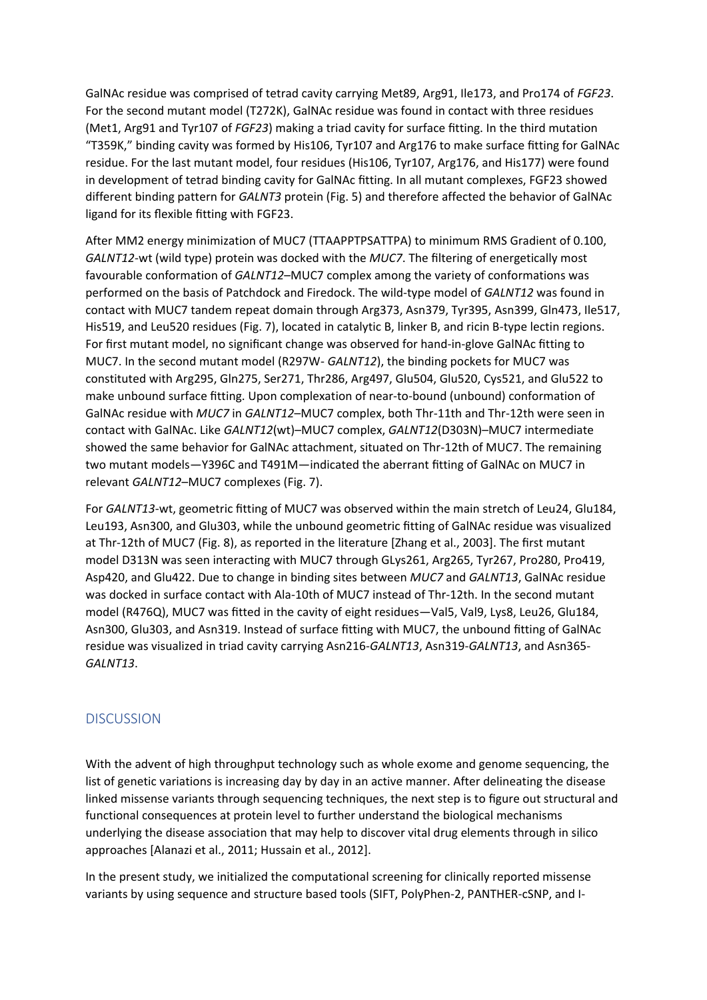GalNAc residue was comprised of tetrad cavity carrying Met89, Arg91, Ile173, and Pro174 of *FGF23*. For the second mutant model (T272K), GalNAc residue was found in contact with three residues (Met1, Arg91 and Tyr107 of *FGF23*) making a triad cavity for surface fitting. In the third mutation "T359K," binding cavity was formed by His106, Tyr107 and Arg176 to make surface fitting for GalNAc residue. For the last mutant model, four residues (His106, Tyr107, Arg176, and His177) were found in development of tetrad binding cavity for GalNAc fitting. In all mutant complexes, FGF23 showed different binding pattern for *GALNT3* protein (Fig. 5) and therefore affected the behavior of GalNAc ligand for its flexible fitting with FGF23.

After MM2 energy minimization of MUC7 (TTAAPPTPSATTPA) to minimum RMS Gradient of 0.100, *GALNT12*‐wt (wild type) protein was docked with the *MUC7*. The filtering of energetically most favourable conformation of *GALNT12*–MUC7 complex among the variety of conformations was performed on the basis of Patchdock and Firedock. The wild‐type model of *GALNT12* was found in contact with MUC7 tandem repeat domain through Arg373, Asn379, Tyr395, Asn399, Gln473, Ile517, His519, and Leu520 residues (Fig. 7), located in catalytic B, linker B, and ricin B-type lectin regions. For first mutant model, no significant change was observed for hand‐in‐glove GalNAc fitting to MUC7. In the second mutant model (R297W‐ *GALNT12*), the binding pockets for MUC7 was constituted with Arg295, Gln275, Ser271, Thr286, Arg497, Glu504, Glu520, Cys521, and Glu522 to make unbound surface fitting. Upon complexation of near-to-bound (unbound) conformation of GalNAc residue with *MUC7* in *GALNT12*–MUC7 complex, both Thr‐11th and Thr‐12th were seen in contact with GalNAc. Like *GALNT12*(wt)–MUC7 complex, *GALNT12*(D303N)–MUC7 intermediate showed the same behavior for GalNAc attachment, situated on Thr‐12th of MUC7. The remaining two mutant models—Y396C and T491M—indicated the aberrant fitting of GalNAc on MUC7 in relevant *GALNT12*–MUC7 complexes (Fig. 7).

For *GALNT13*‐wt, geometric fitting of MUC7 was observed within the main stretch of Leu24, Glu184, Leu193, Asn300, and Glu303, while the unbound geometric fitting of GalNAc residue was visualized at Thr‐12th of MUC7 (Fig. 8), as reported in the literature [Zhang et al., 2003]. The first mutant model D313N was seen interacting with MUC7 through GLys261, Arg265, Tyr267, Pro280, Pro419, Asp420, and Glu422. Due to change in binding sites between *MUC7* and *GALNT13*, GalNAc residue was docked in surface contact with Ala-10th of MUC7 instead of Thr-12th. In the second mutant model (R476Q), MUC7 was fitted in the cavity of eight residues—Val5, Val9, Lys8, Leu26, Glu184, Asn300, Glu303, and Asn319. Instead of surface fitting with MUC7, the unbound fitting of GalNAc residue was visualized in triad cavity carrying Asn216‐*GALNT13*, Asn319‐*GALNT13*, and Asn365‐ *GALNT13*.

## **DISCUSSION**

With the advent of high throughput technology such as whole exome and genome sequencing, the list of genetic variations is increasing day by day in an active manner. After delineating the disease linked missense variants through sequencing techniques, the next step is to figure out structural and functional consequences at protein level to further understand the biological mechanisms underlying the disease association that may help to discover vital drug elements through in silico approaches [Alanazi et al., 2011; Hussain et al., 2012].

In the present study, we initialized the computational screening for clinically reported missense variants by using sequence and structure based tools (SIFT, PolyPhen‐2, PANTHER‐cSNP, and I‐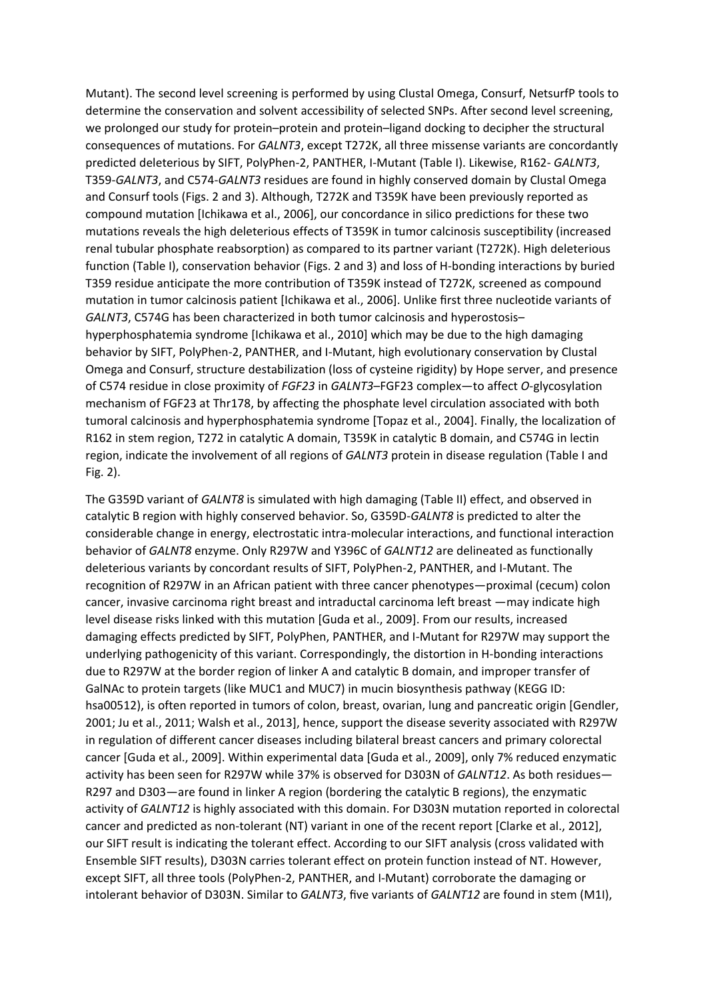Mutant). The second level screening is performed by using Clustal Omega, Consurf, NetsurfP tools to determine the conservation and solvent accessibility of selected SNPs. After second level screening, we prolonged our study for protein–protein and protein–ligand docking to decipher the structural consequences of mutations. For *GALNT3*, except T272K, all three missense variants are concordantly predicted deleterious by SIFT, PolyPhen‐2, PANTHER, I‐Mutant (Table I). Likewise, R162‐ *GALNT3*, T359‐*GALNT3*, and C574‐*GALNT3* residues are found in highly conserved domain by Clustal Omega and Consurf tools (Figs. 2 and 3). Although, T272K and T359K have been previously reported as compound mutation [Ichikawa et al., 2006], our concordance in silico predictions for these two mutations reveals the high deleterious effects of T359K in tumor calcinosis susceptibility (increased renal tubular phosphate reabsorption) as compared to its partner variant (T272K). High deleterious function (Table I), conservation behavior (Figs. 2 and 3) and loss of H‐bonding interactions by buried T359 residue anticipate the more contribution of T359K instead of T272K, screened as compound mutation in tumor calcinosis patient [Ichikawa et al., 2006]. Unlike first three nucleotide variants of *GALNT3*, C574G has been characterized in both tumor calcinosis and hyperostosis– hyperphosphatemia syndrome [Ichikawa et al., 2010] which may be due to the high damaging behavior by SIFT, PolyPhen‐2, PANTHER, and I‐Mutant, high evolutionary conservation by Clustal Omega and Consurf, structure destabilization (loss of cysteine rigidity) by Hope server, and presence of C574 residue in close proximity of *FGF23* in *GALNT3*–FGF23 complex—to affect *O*‐glycosylation mechanism of FGF23 at Thr178, by affecting the phosphate level circulation associated with both tumoral calcinosis and hyperphosphatemia syndrome [Topaz et al., 2004]. Finally, the localization of R162 in stem region, T272 in catalytic A domain, T359K in catalytic B domain, and C574G in lectin region, indicate the involvement of all regions of *GALNT3* protein in disease regulation (Table I and Fig. 2).

The G359D variant of *GALNT8* is simulated with high damaging (Table II) effect, and observed in catalytic B region with highly conserved behavior. So, G359D‐*GALNT8* is predicted to alter the considerable change in energy, electrostatic intra‐molecular interactions, and functional interaction behavior of *GALNT8* enzyme. Only R297W and Y396C of *GALNT12* are delineated as functionally deleterious variants by concordant results of SIFT, PolyPhen‐2, PANTHER, and I‐Mutant. The recognition of R297W in an African patient with three cancer phenotypes—proximal (cecum) colon cancer, invasive carcinoma right breast and intraductal carcinoma left breast —may indicate high level disease risks linked with this mutation [Guda et al., 2009]. From our results, increased damaging effects predicted by SIFT, PolyPhen, PANTHER, and I‐Mutant for R297W may support the underlying pathogenicity of this variant. Correspondingly, the distortion in H‐bonding interactions due to R297W at the border region of linker A and catalytic B domain, and improper transfer of GalNAc to protein targets (like MUC1 and MUC7) in mucin biosynthesis pathway (KEGG ID: hsa00512), is often reported in tumors of colon, breast, ovarian, lung and pancreatic origin [Gendler, 2001; Ju et al., 2011; Walsh et al., 2013], hence, support the disease severity associated with R297W in regulation of different cancer diseases including bilateral breast cancers and primary colorectal cancer [Guda et al., 2009]. Within experimental data [Guda et al., 2009], only 7% reduced enzymatic activity has been seen for R297W while 37% is observed for D303N of *GALNT12*. As both residues— R297 and D303—are found in linker A region (bordering the catalytic B regions), the enzymatic activity of *GALNT12* is highly associated with this domain. For D303N mutation reported in colorectal cancer and predicted as non-tolerant (NT) variant in one of the recent report [Clarke et al., 2012], our SIFT result is indicating the tolerant effect. According to our SIFT analysis (cross validated with Ensemble SIFT results), D303N carries tolerant effect on protein function instead of NT. However, except SIFT, all three tools (PolyPhen‐2, PANTHER, and I‐Mutant) corroborate the damaging or intolerant behavior of D303N. Similar to *GALNT3*, five variants of *GALNT12* are found in stem (M1I),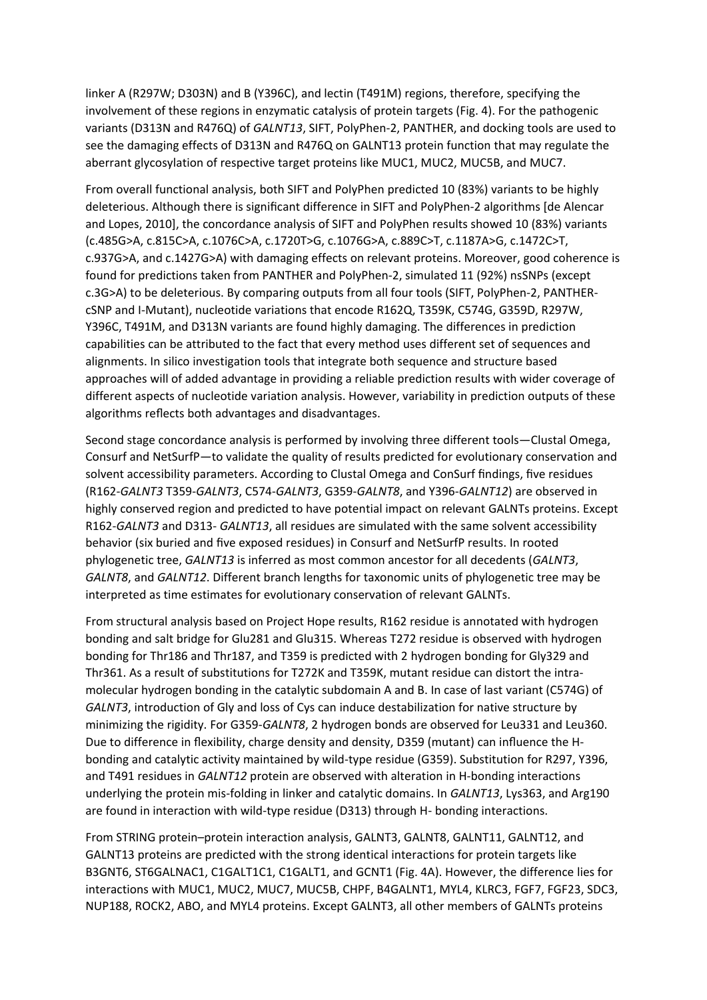linker A (R297W; D303N) and B (Y396C), and lectin (T491M) regions, therefore, specifying the involvement of these regions in enzymatic catalysis of protein targets (Fig. 4). For the pathogenic variants (D313N and R476Q) of *GALNT13*, SIFT, PolyPhen‐2, PANTHER, and docking tools are used to see the damaging effects of D313N and R476Q on GALNT13 protein function that may regulate the aberrant glycosylation of respective target proteins like MUC1, MUC2, MUC5B, and MUC7.

From overall functional analysis, both SIFT and PolyPhen predicted 10 (83%) variants to be highly deleterious. Although there is significant difference in SIFT and PolyPhen‐2 algorithms [de Alencar and Lopes, 2010], the concordance analysis of SIFT and PolyPhen results showed 10 (83%) variants (c.485G>A, c.815C>A, c.1076C>A, c.1720T>G, c.1076G>A, c.889C>T, c.1187A>G, c.1472C>T, c.937G>A, and c.1427G>A) with damaging effects on relevant proteins. Moreover, good coherence is found for predictions taken from PANTHER and PolyPhen‐2, simulated 11 (92%) nsSNPs (except c.3G>A) to be deleterious. By comparing outputs from all four tools (SIFT, PolyPhen‐2, PANTHER‐ cSNP and I‐Mutant), nucleotide variations that encode R162Q, T359K, C574G, G359D, R297W, Y396C, T491M, and D313N variants are found highly damaging. The differences in prediction capabilities can be attributed to the fact that every method uses different set of sequences and alignments. In silico investigation tools that integrate both sequence and structure based approaches will of added advantage in providing a reliable prediction results with wider coverage of different aspects of nucleotide variation analysis. However, variability in prediction outputs of these algorithms reflects both advantages and disadvantages.

Second stage concordance analysis is performed by involving three different tools—Clustal Omega, Consurf and NetSurfP—to validate the quality of results predicted for evolutionary conservation and solvent accessibility parameters. According to Clustal Omega and ConSurf findings, five residues (R162‐*GALNT3* T359‐*GALNT3*, C574‐*GALNT3*, G359‐*GALNT8*, and Y396‐*GALNT12*) are observed in highly conserved region and predicted to have potential impact on relevant GALNTs proteins. Except R162‐*GALNT3* and D313‐ *GALNT13*, all residues are simulated with the same solvent accessibility behavior (six buried and five exposed residues) in Consurf and NetSurfP results. In rooted phylogenetic tree, *GALNT13* is inferred as most common ancestor for all decedents (*GALNT3*, *GALNT8*, and *GALNT12*. Different branch lengths for taxonomic units of phylogenetic tree may be interpreted as time estimates for evolutionary conservation of relevant GALNTs.

From structural analysis based on Project Hope results, R162 residue is annotated with hydrogen bonding and salt bridge for Glu281 and Glu315. Whereas T272 residue is observed with hydrogen bonding for Thr186 and Thr187, and T359 is predicted with 2 hydrogen bonding for Gly329 and Thr361. As a result of substitutions for T272K and T359K, mutant residue can distort the intra‐ molecular hydrogen bonding in the catalytic subdomain A and B. In case of last variant (C574G) of *GALNT3*, introduction of Gly and loss of Cys can induce destabilization for native structure by minimizing the rigidity. For G359‐*GALNT8*, 2 hydrogen bonds are observed for Leu331 and Leu360. Due to difference in flexibility, charge density and density, D359 (mutant) can influence the Hbonding and catalytic activity maintained by wild‐type residue (G359). Substitution for R297, Y396, and T491 residues in *GALNT12* protein are observed with alteration in H‐bonding interactions underlying the protein mis‐folding in linker and catalytic domains. In *GALNT13*, Lys363, and Arg190 are found in interaction with wild-type residue (D313) through H- bonding interactions.

From STRING protein-protein interaction analysis, GALNT3, GALNT8, GALNT11, GALNT12, and GALNT13 proteins are predicted with the strong identical interactions for protein targets like B3GNT6, ST6GALNAC1, C1GALT1C1, C1GALT1, and GCNT1 (Fig. 4A). However, the difference lies for interactions with MUC1, MUC2, MUC7, MUC5B, CHPF, B4GALNT1, MYL4, KLRC3, FGF7, FGF23, SDC3, NUP188, ROCK2, ABO, and MYL4 proteins. Except GALNT3, all other members of GALNTs proteins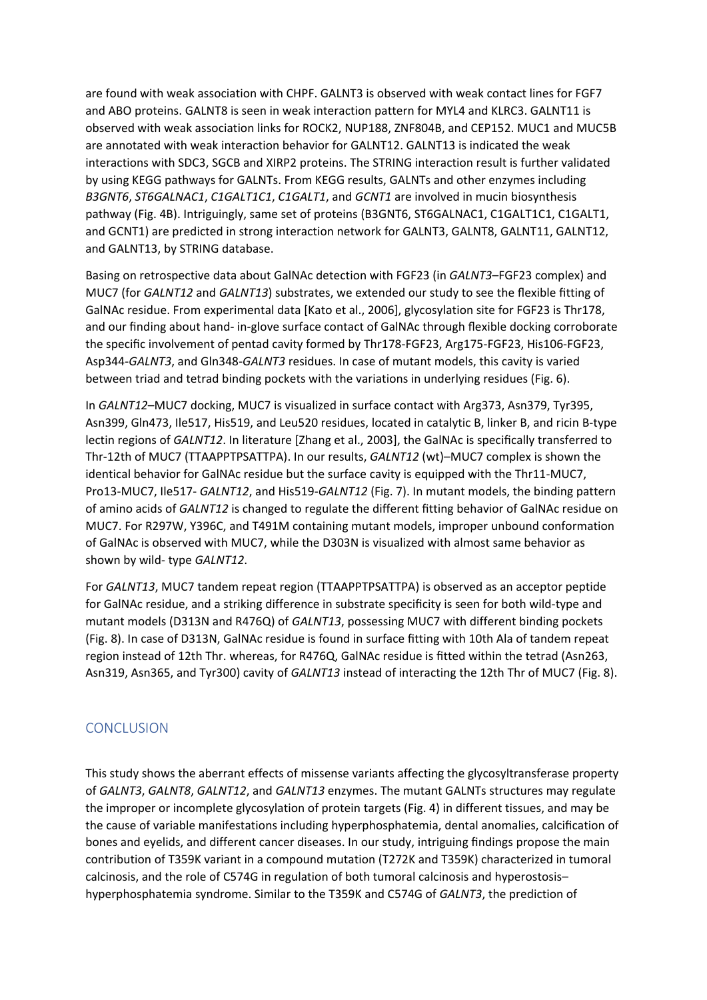are found with weak association with CHPF. GALNT3 is observed with weak contact lines for FGF7 and ABO proteins. GALNT8 is seen in weak interaction pattern for MYL4 and KLRC3. GALNT11 is observed with weak association links for ROCK2, NUP188, ZNF804B, and CEP152. MUC1 and MUC5B are annotated with weak interaction behavior for GALNT12. GALNT13 is indicated the weak interactions with SDC3, SGCB and XIRP2 proteins. The STRING interaction result is further validated by using KEGG pathways for GALNTs. From KEGG results, GALNTs and other enzymes including *B3GNT6*, *ST6GALNAC1*, *C1GALT1C1*, *C1GALT1*, and *GCNT1* are involved in mucin biosynthesis pathway (Fig. 4B). Intriguingly, same set of proteins (B3GNT6, ST6GALNAC1, C1GALT1C1, C1GALT1, and GCNT1) are predicted in strong interaction network for GALNT3, GALNT8, GALNT11, GALNT12, and GALNT13, by STRING database.

Basing on retrospective data about GalNAc detection with FGF23 (in *GALNT3*–FGF23 complex) and MUC7 (for *GALNT12* and *GALNT13*) substrates, we extended our study to see the flexible fitting of GalNAc residue. From experimental data [Kato et al., 2006], glycosylation site for FGF23 is Thr178, and our finding about hand- in-glove surface contact of GalNAc through flexible docking corroborate the specific involvement of pentad cavity formed by Thr178‐FGF23, Arg175‐FGF23, His106‐FGF23, Asp344‐*GALNT3*, and Gln348‐*GALNT3* residues. In case of mutant models, this cavity is varied between triad and tetrad binding pockets with the variations in underlying residues (Fig. 6).

In *GALNT12*–MUC7 docking, MUC7 is visualized in surface contact with Arg373, Asn379, Tyr395, Asn399, Gln473, Ile517, His519, and Leu520 residues, located in catalytic B, linker B, and ricin B‐type lectin regions of *GALNT12*. In literature [Zhang et al., 2003], the GalNAc is specifically transferred to Thr‐12th of MUC7 (TTAAPPTPSATTPA). In our results, *GALNT12* (wt)–MUC7 complex is shown the identical behavior for GalNAc residue but the surface cavity is equipped with the Thr11‐MUC7, Pro13‐MUC7, Ile517‐ *GALNT12*, and His519‐*GALNT12* (Fig. 7). In mutant models, the binding pattern of amino acids of *GALNT12* is changed to regulate the different fitting behavior of GalNAc residue on MUC7. For R297W, Y396C, and T491M containing mutant models, improper unbound conformation of GalNAc is observed with MUC7, while the D303N is visualized with almost same behavior as shown by wild‐ type *GALNT12*.

For *GALNT13*, MUC7 tandem repeat region (TTAAPPTPSATTPA) is observed as an acceptor peptide for GalNAc residue, and a striking difference in substrate specificity is seen for both wild‐type and mutant models (D313N and R476Q) of *GALNT13*, possessing MUC7 with different binding pockets (Fig. 8). In case of D313N, GalNAc residue is found in surface fitting with 10th Ala of tandem repeat region instead of 12th Thr. whereas, for R476Q, GalNAc residue is fitted within the tetrad (Asn263, Asn319, Asn365, and Tyr300) cavity of *GALNT13* instead of interacting the 12th Thr of MUC7 (Fig. 8).

# **CONCLUSION**

This study shows the aberrant effects of missense variants affecting the glycosyltransferase property of *GALNT3*, *GALNT8*, *GALNT12*, and *GALNT13* enzymes. The mutant GALNTs structures may regulate the improper or incomplete glycosylation of protein targets (Fig. 4) in different tissues, and may be the cause of variable manifestations including hyperphosphatemia, dental anomalies, calcification of bones and eyelids, and different cancer diseases. In our study, intriguing findings propose the main contribution of T359K variant in a compound mutation (T272K and T359K) characterized in tumoral calcinosis, and the role of C574G in regulation of both tumoral calcinosis and hyperostosis– hyperphosphatemia syndrome. Similar to the T359K and C574G of *GALNT3*, the prediction of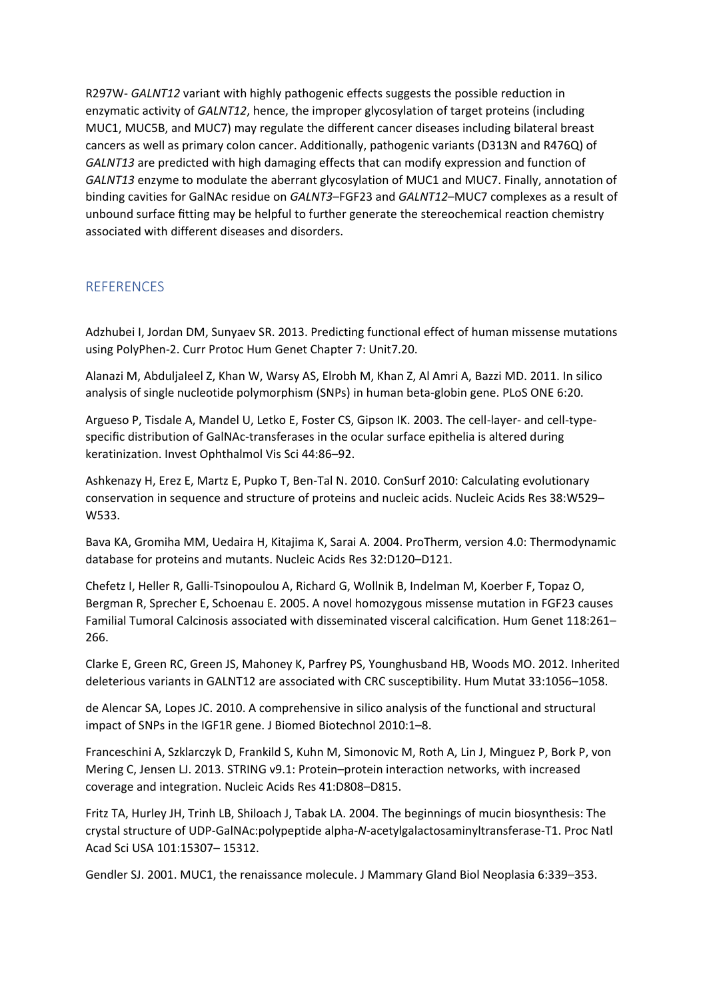R297W‐ *GALNT12* variant with highly pathogenic effects suggests the possible reduction in enzymatic activity of *GALNT12*, hence, the improper glycosylation of target proteins (including MUC1, MUC5B, and MUC7) may regulate the different cancer diseases including bilateral breast cancers as well as primary colon cancer. Additionally, pathogenic variants (D313N and R476Q) of *GALNT13* are predicted with high damaging effects that can modify expression and function of *GALNT13* enzyme to modulate the aberrant glycosylation of MUC1 and MUC7. Finally, annotation of binding cavities for GalNAc residue on *GALNT3*–FGF23 and *GALNT12*–MUC7 complexes as a result of unbound surface fitting may be helpful to further generate the stereochemical reaction chemistry associated with different diseases and disorders.

# **REFERENCES**

Adzhubei I, Jordan DM, Sunyaev SR. 2013. Predicting functional effect of human missense mutations using PolyPhen‐2. Curr Protoc Hum Genet Chapter 7: Unit7.20.

Alanazi M, Abduljaleel Z, Khan W, Warsy AS, Elrobh M, Khan Z, Al Amri A, Bazzi MD. 2011. In silico analysis of single nucleotide polymorphism (SNPs) in human beta‐globin gene. PLoS ONE 6:20.

Argueso P, Tisdale A, Mandel U, Letko E, Foster CS, Gipson IK. 2003. The cell‐layer‐ and cell‐type‐ specific distribution of GalNAc-transferases in the ocular surface epithelia is altered during keratinization. Invest Ophthalmol Vis Sci 44:86–92.

Ashkenazy H, Erez E, Martz E, Pupko T, Ben‐Tal N. 2010. ConSurf 2010: Calculating evolutionary conservation in sequence and structure of proteins and nucleic acids. Nucleic Acids Res 38:W529– W533.

Bava KA, Gromiha MM, Uedaira H, Kitajima K, Sarai A. 2004. ProTherm, version 4.0: Thermodynamic database for proteins and mutants. Nucleic Acids Res 32:D120–D121.

Chefetz I, Heller R, Galli‐Tsinopoulou A, Richard G, Wollnik B, Indelman M, Koerber F, Topaz O, Bergman R, Sprecher E, Schoenau E. 2005. A novel homozygous missense mutation in FGF23 causes Familial Tumoral Calcinosis associated with disseminated visceral calcification. Hum Genet 118:261– 266.

Clarke E, Green RC, Green JS, Mahoney K, Parfrey PS, Younghusband HB, Woods MO. 2012. Inherited deleterious variants in GALNT12 are associated with CRC susceptibility. Hum Mutat 33:1056–1058.

de Alencar SA, Lopes JC. 2010. A comprehensive in silico analysis of the functional and structural impact of SNPs in the IGF1R gene. J Biomed Biotechnol 2010:1–8.

Franceschini A, Szklarczyk D, Frankild S, Kuhn M, Simonovic M, Roth A, Lin J, Minguez P, Bork P, von Mering C, Jensen LJ. 2013. STRING v9.1: Protein–protein interaction networks, with increased coverage and integration. Nucleic Acids Res 41:D808–D815.

Fritz TA, Hurley JH, Trinh LB, Shiloach J, Tabak LA. 2004. The beginnings of mucin biosynthesis: The crystal structure of UDP‐GalNAc:polypeptide alpha‐*N*‐acetylgalactosaminyltransferase‐T1. Proc Natl Acad Sci USA 101:15307– 15312.

Gendler SJ. 2001. MUC1, the renaissance molecule. J Mammary Gland Biol Neoplasia 6:339–353.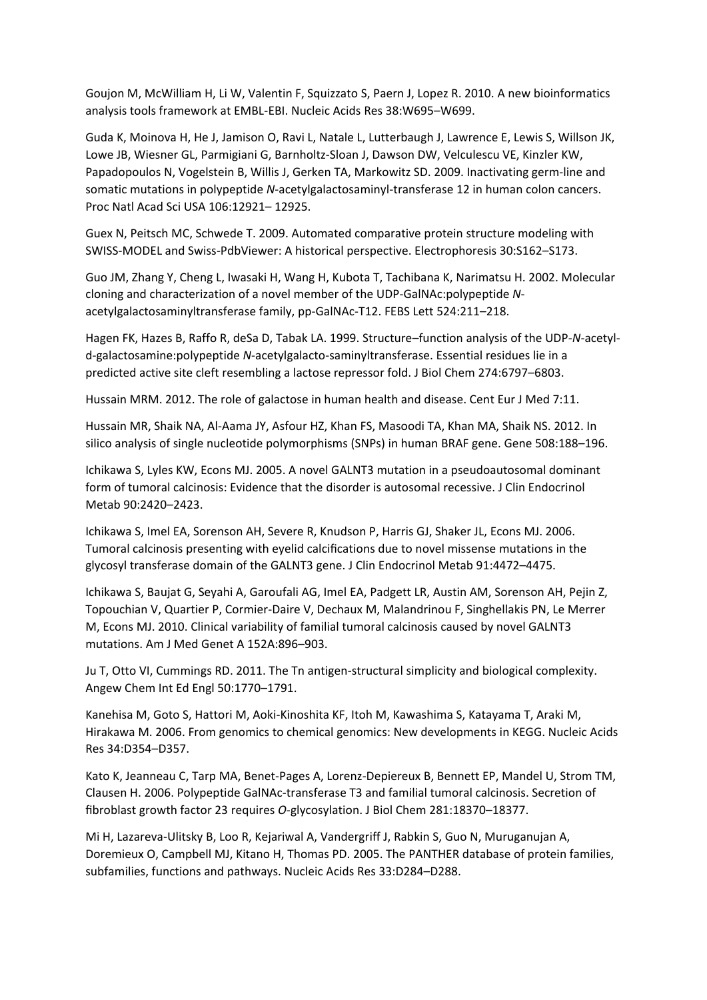Goujon M, McWilliam H, Li W, Valentin F, Squizzato S, Paern J, Lopez R. 2010. A new bioinformatics analysis tools framework at EMBL‐EBI. Nucleic Acids Res 38:W695–W699.

Guda K, Moinova H, He J, Jamison O, Ravi L, Natale L, Lutterbaugh J, Lawrence E, Lewis S, Willson JK, Lowe JB, Wiesner GL, Parmigiani G, Barnholtz‐Sloan J, Dawson DW, Velculescu VE, Kinzler KW, Papadopoulos N, Vogelstein B, Willis J, Gerken TA, Markowitz SD. 2009. Inactivating germ‐line and somatic mutations in polypeptide *N*‐acetylgalactosaminyl-transferase 12 in human colon cancers. Proc Natl Acad Sci USA 106:12921– 12925.

Guex N, Peitsch MC, Schwede T. 2009. Automated comparative protein structure modeling with SWISS‐MODEL and Swiss‐PdbViewer: A historical perspective. Electrophoresis 30:S162–S173.

Guo JM, Zhang Y, Cheng L, Iwasaki H, Wang H, Kubota T, Tachibana K, Narimatsu H. 2002. Molecular cloning and characterization of a novel member of the UDP‐GalNAc:polypeptide *N*‐ acetylgalactosaminyltransferase family, pp‐GalNAc‐T12. FEBS Lett 524:211–218.

Hagen FK, Hazes B, Raffo R, deSa D, Tabak LA. 1999. Structure–function analysis of the UDP‐*N*‐acetyl‐ d‐galactosamine:polypeptide *N*‐acetylgalacto-saminyltransferase. Essential residues lie in a predicted active site cleft resembling a lactose repressor fold. J Biol Chem 274:6797–6803.

Hussain MRM. 2012. The role of galactose in human health and disease. Cent Eur J Med 7:11.

Hussain MR, Shaik NA, Al‐Aama JY, Asfour HZ, Khan FS, Masoodi TA, Khan MA, Shaik NS. 2012. In silico analysis of single nucleotide polymorphisms (SNPs) in human BRAF gene. Gene 508:188–196.

Ichikawa S, Lyles KW, Econs MJ. 2005. A novel GALNT3 mutation in a pseudoautosomal dominant form of tumoral calcinosis: Evidence that the disorder is autosomal recessive. J Clin Endocrinol Metab 90:2420–2423.

Ichikawa S, Imel EA, Sorenson AH, Severe R, Knudson P, Harris GJ, Shaker JL, Econs MJ. 2006. Tumoral calcinosis presenting with eyelid calcifications due to novel missense mutations in the glycosyl transferase domain of the GALNT3 gene. J Clin Endocrinol Metab 91:4472–4475.

Ichikawa S, Baujat G, Seyahi A, Garoufali AG, Imel EA, Padgett LR, Austin AM, Sorenson AH, Pejin Z, Topouchian V, Quartier P, Cormier‐Daire V, Dechaux M, Malandrinou F, Singhellakis PN, Le Merrer M, Econs MJ. 2010. Clinical variability of familial tumoral calcinosis caused by novel GALNT3 mutations. Am J Med Genet A 152A:896–903.

Ju T, Otto VI, Cummings RD. 2011. The Tn antigen‐structural simplicity and biological complexity. Angew Chem Int Ed Engl 50:1770–1791.

Kanehisa M, Goto S, Hattori M, Aoki‐Kinoshita KF, Itoh M, Kawashima S, Katayama T, Araki M, Hirakawa M. 2006. From genomics to chemical genomics: New developments in KEGG. Nucleic Acids Res 34:D354–D357.

Kato K, Jeanneau C, Tarp MA, Benet‐Pages A, Lorenz‐Depiereux B, Bennett EP, Mandel U, Strom TM, Clausen H. 2006. Polypeptide GalNAc‐transferase T3 and familial tumoral calcinosis. Secretion of fibroblast growth factor 23 requires *O*‐glycosylation. J Biol Chem 281:18370–18377.

Mi H, Lazareva‐Ulitsky B, Loo R, Kejariwal A, Vandergriff J, Rabkin S, Guo N, Muruganujan A, Doremieux O, Campbell MJ, Kitano H, Thomas PD. 2005. The PANTHER database of protein families, subfamilies, functions and pathways. Nucleic Acids Res 33:D284–D288.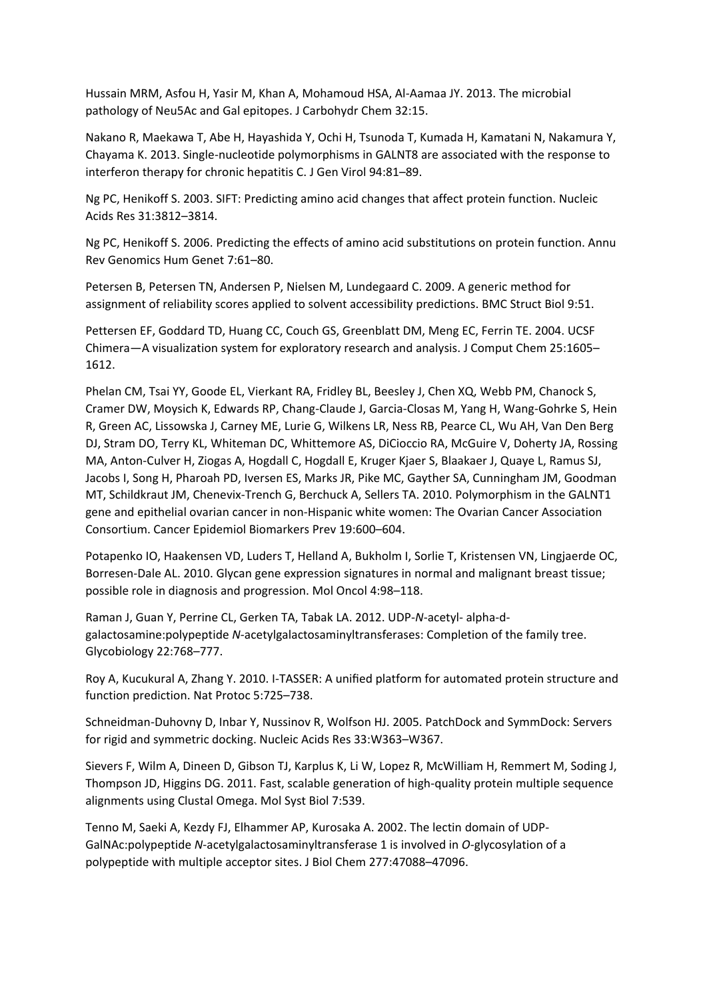Hussain MRM, Asfou H, Yasir M, Khan A, Mohamoud HSA, Al‐Aamaa JY. 2013. The microbial pathology of Neu5Ac and Gal epitopes. J Carbohydr Chem 32:15.

Nakano R, Maekawa T, Abe H, Hayashida Y, Ochi H, Tsunoda T, Kumada H, Kamatani N, Nakamura Y, Chayama K. 2013. Single‐nucleotide polymorphisms in GALNT8 are associated with the response to interferon therapy for chronic hepatitis C. J Gen Virol 94:81–89.

Ng PC, Henikoff S. 2003. SIFT: Predicting amino acid changes that affect protein function. Nucleic Acids Res 31:3812–3814.

Ng PC, Henikoff S. 2006. Predicting the effects of amino acid substitutions on protein function. Annu Rev Genomics Hum Genet 7:61–80.

Petersen B, Petersen TN, Andersen P, Nielsen M, Lundegaard C. 2009. A generic method for assignment of reliability scores applied to solvent accessibility predictions. BMC Struct Biol 9:51.

Pettersen EF, Goddard TD, Huang CC, Couch GS, Greenblatt DM, Meng EC, Ferrin TE. 2004. UCSF Chimera—A visualization system for exploratory research and analysis. J Comput Chem 25:1605– 1612.

Phelan CM, Tsai YY, Goode EL, Vierkant RA, Fridley BL, Beesley J, Chen XQ, Webb PM, Chanock S, Cramer DW, Moysich K, Edwards RP, Chang‐Claude J, Garcia‐Closas M, Yang H, Wang‐Gohrke S, Hein R, Green AC, Lissowska J, Carney ME, Lurie G, Wilkens LR, Ness RB, Pearce CL, Wu AH, Van Den Berg DJ, Stram DO, Terry KL, Whiteman DC, Whittemore AS, DiCioccio RA, McGuire V, Doherty JA, Rossing MA, Anton‐Culver H, Ziogas A, Hogdall C, Hogdall E, Kruger Kjaer S, Blaakaer J, Quaye L, Ramus SJ, Jacobs I, Song H, Pharoah PD, Iversen ES, Marks JR, Pike MC, Gayther SA, Cunningham JM, Goodman MT, Schildkraut JM, Chenevix‐Trench G, Berchuck A, Sellers TA. 2010. Polymorphism in the GALNT1 gene and epithelial ovarian cancer in non‐Hispanic white women: The Ovarian Cancer Association Consortium. Cancer Epidemiol Biomarkers Prev 19:600–604.

Potapenko IO, Haakensen VD, Luders T, Helland A, Bukholm I, Sorlie T, Kristensen VN, Lingjaerde OC, Borresen-Dale AL. 2010. Glycan gene expression signatures in normal and malignant breast tissue; possible role in diagnosis and progression. Mol Oncol 4:98–118.

Raman J, Guan Y, Perrine CL, Gerken TA, Tabak LA. 2012. UDP‐*N*‐acetyl‐ alpha‐d‐ galactosamine:polypeptide *N*‐acetylgalactosaminyltransferases: Completion of the family tree. Glycobiology 22:768–777.

Roy A, Kucukural A, Zhang Y. 2010. I‐TASSER: A unified platform for automated protein structure and function prediction. Nat Protoc 5:725–738.

Schneidman‐Duhovny D, Inbar Y, Nussinov R, Wolfson HJ. 2005. PatchDock and SymmDock: Servers for rigid and symmetric docking. Nucleic Acids Res 33:W363–W367.

Sievers F, Wilm A, Dineen D, Gibson TJ, Karplus K, Li W, Lopez R, McWilliam H, Remmert M, Soding J, Thompson JD, Higgins DG. 2011. Fast, scalable generation of high-quality protein multiple sequence alignments using Clustal Omega. Mol Syst Biol 7:539.

Tenno M, Saeki A, Kezdy FJ, Elhammer AP, Kurosaka A. 2002. The lectin domain of UDP‐ GalNAc:polypeptide *N*‐acetylgalactosaminyltransferase 1 is involved in *O*‐glycosylation of a polypeptide with multiple acceptor sites. J Biol Chem 277:47088–47096.